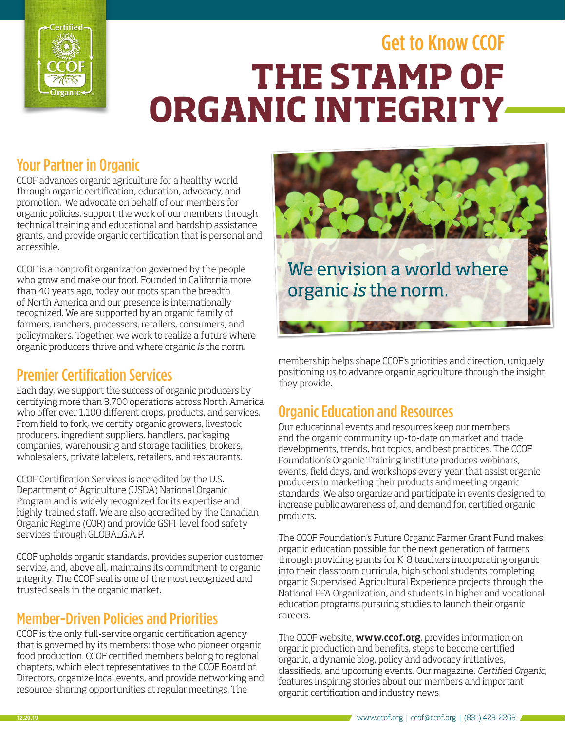

# Get to Know CCOF **Y ORGANIC INTEGRITY THE STAMP OF**

#### Your Partner in Organic

CCOF advances organic agriculture for a healthy world through organic certification, education, advocacy, and promotion. We advocate on behalf of our members for organic policies, support the work of our members through technical training and educational and hardship assistance grants, and provide organic certification that is personal and accessible.

CCOF is a nonprofit organization governed by the people who grow and make our food. Founded in California more than 40 years ago, today our roots span the breadth of North America and our presence is internationally recognized. We are supported by an organic family of farmers, ranchers, processors, retailers, consumers, and policymakers. Together, we work to realize a future where organic producers thrive and where organic *is* the norm.

# Premier Certification Services

Each day, we support the success of organic producers by certifying more than 3,700 operations across North America who offer over 1,100 different crops, products, and services. From field to fork, we certify organic growers, livestock producers, ingredient suppliers, handlers, packaging companies, warehousing and storage facilities, brokers, wholesalers, private labelers, retailers, and restaurants.

CCOF Certification Services is accredited by the U.S. Department of Agriculture (USDA) National Organic Program and is widely recognized for its expertise and highly trained staff. We are also accredited by the Canadian Organic Regime (COR) and provide GSFI-level food safety services through GLOBALG.A.P.

CCOF upholds organic standards, provides superior customer service, and, above all, maintains its commitment to organic integrity. The CCOF seal is one of the most recognized and trusted seals in the organic market.

# Member-Driven Policies and Priorities

CCOF is the only full-service organic certification agency that is governed by its members: those who pioneer organic food production. CCOF certified members belong to regional chapters, which elect representatives to the CCOF Board of Directors, organize local events, and provide networking and resource-sharing opportunities at regular meetings. The



membership helps shape CCOF's priorities and direction, uniquely positioning us to advance organic agriculture through the insight they provide.

# Organic Education and Resources

Our educational events and resources keep our members and the organic community up-to-date on market and trade developments, trends, hot topics, and best practices. The CCOF Foundation's Organic Training Institute produces webinars, events, field days, and workshops every year that assist organic producers in marketing their products and meeting organic standards. We also organize and participate in events designed to increase public awareness of, and demand for, certified organic products.

The CCOF Foundation's Future Organic Farmer Grant Fund makes organic education possible for the next generation of farmers through providing grants for K-8 teachers incorporating organic into their classroom curricula, high school students completing organic Supervised Agricultural Experience projects through the National FFA Organization, and students in higher and vocational education programs pursuing studies to launch their organic careers.

The CCOF website, **www.ccof.org**, provides information on organic production and benefits, steps to become certified organic, a dynamic blog, policy and advocacy initiatives, classifieds, and upcoming events. Our magazine, *Certified Organic*, features inspiring stories about our members and important organic certification and industry news.